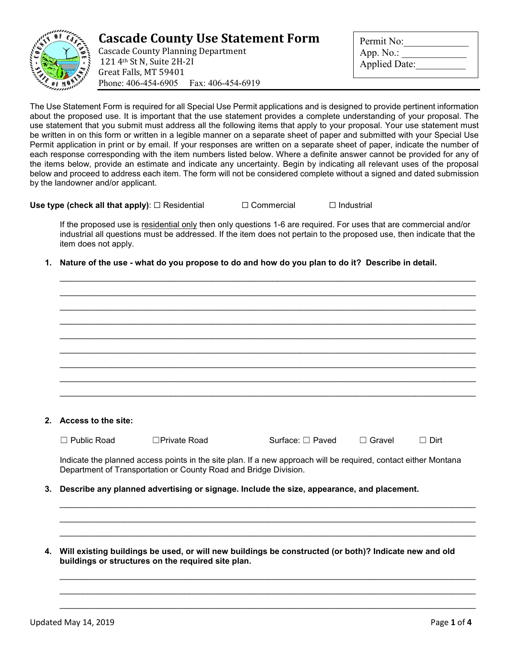

## **Cascade County Use Statement Form**

Cascade County Planning Department 121 4th St N, Suite 2H-2I Great Falls, MT 59401 Phone: 406-454-6905 Fax: 406-454-6919

| Permit No:           |
|----------------------|
| App. No.:            |
| <b>Applied Date:</b> |
|                      |

The Use Statement Form is required for all Special Use Permit applications and is designed to provide pertinent information about the proposed use. It is important that the use statement provides a complete understanding of your proposal. The use statement that you submit must address all the following items that apply to your proposal. Your use statement must be written in on this form or written in a legible manner on a separate sheet of paper and submitted with your Special Use Permit application in print or by email. If your responses are written on a separate sheet of paper, indicate the number of each response corresponding with the item numbers listed below. Where a definite answer cannot be provided for any of the items below, provide an estimate and indicate any uncertainty. Begin by indicating all relevant uses of the proposal below and proceed to address each item. The form will not be considered complete without a signed and dated submission by the landowner and/or applicant.

**Use type (check all that apply)**: □ Residential □ Commercial □ Industrial

If the proposed use is residential only then only questions 1-6 are required. For uses that are commercial and/or industrial all questions must be addressed. If the item does not pertain to the proposed use, then indicate that the item does not apply.

\_\_\_\_\_\_\_\_\_\_\_\_\_\_\_\_\_\_\_\_\_\_\_\_\_\_\_\_\_\_\_\_\_\_\_\_\_\_\_\_\_\_\_\_\_\_\_\_\_\_\_\_\_\_\_\_\_\_\_\_\_\_\_\_\_\_\_\_\_\_\_\_\_\_\_\_\_\_\_\_\_\_\_\_\_\_\_\_\_\_ \_\_\_\_\_\_\_\_\_\_\_\_\_\_\_\_\_\_\_\_\_\_\_\_\_\_\_\_\_\_\_\_\_\_\_\_\_\_\_\_\_\_\_\_\_\_\_\_\_\_\_\_\_\_\_\_\_\_\_\_\_\_\_\_\_\_\_\_\_\_\_\_\_\_\_\_\_\_\_\_\_\_\_\_\_\_\_\_\_\_ \_\_\_\_\_\_\_\_\_\_\_\_\_\_\_\_\_\_\_\_\_\_\_\_\_\_\_\_\_\_\_\_\_\_\_\_\_\_\_\_\_\_\_\_\_\_\_\_\_\_\_\_\_\_\_\_\_\_\_\_\_\_\_\_\_\_\_\_\_\_\_\_\_\_\_\_\_\_\_\_\_\_\_\_\_\_\_\_\_\_ \_\_\_\_\_\_\_\_\_\_\_\_\_\_\_\_\_\_\_\_\_\_\_\_\_\_\_\_\_\_\_\_\_\_\_\_\_\_\_\_\_\_\_\_\_\_\_\_\_\_\_\_\_\_\_\_\_\_\_\_\_\_\_\_\_\_\_\_\_\_\_\_\_\_\_\_\_\_\_\_\_\_\_\_\_\_\_\_\_\_ \_\_\_\_\_\_\_\_\_\_\_\_\_\_\_\_\_\_\_\_\_\_\_\_\_\_\_\_\_\_\_\_\_\_\_\_\_\_\_\_\_\_\_\_\_\_\_\_\_\_\_\_\_\_\_\_\_\_\_\_\_\_\_\_\_\_\_\_\_\_\_\_\_\_\_\_\_\_\_\_\_\_\_\_\_\_\_\_\_\_ \_\_\_\_\_\_\_\_\_\_\_\_\_\_\_\_\_\_\_\_\_\_\_\_\_\_\_\_\_\_\_\_\_\_\_\_\_\_\_\_\_\_\_\_\_\_\_\_\_\_\_\_\_\_\_\_\_\_\_\_\_\_\_\_\_\_\_\_\_\_\_\_\_\_\_\_\_\_\_\_\_\_\_\_\_\_\_\_\_\_ \_\_\_\_\_\_\_\_\_\_\_\_\_\_\_\_\_\_\_\_\_\_\_\_\_\_\_\_\_\_\_\_\_\_\_\_\_\_\_\_\_\_\_\_\_\_\_\_\_\_\_\_\_\_\_\_\_\_\_\_\_\_\_\_\_\_\_\_\_\_\_\_\_\_\_\_\_\_\_\_\_\_\_\_\_\_\_\_\_\_ \_\_\_\_\_\_\_\_\_\_\_\_\_\_\_\_\_\_\_\_\_\_\_\_\_\_\_\_\_\_\_\_\_\_\_\_\_\_\_\_\_\_\_\_\_\_\_\_\_\_\_\_\_\_\_\_\_\_\_\_\_\_\_\_\_\_\_\_\_\_\_\_\_\_\_\_\_\_\_\_\_\_\_\_\_\_\_\_\_\_

**1. Nature of the use - what do you propose to do and how do you plan to do it? Describe in detail.**

| 2. | Access to the site:                                                                                                                                                                 |                     |                       |               |             |  |
|----|-------------------------------------------------------------------------------------------------------------------------------------------------------------------------------------|---------------------|-----------------------|---------------|-------------|--|
|    | $\Box$ Public Road                                                                                                                                                                  | $\Box$ Private Road | Surface: $\Box$ Paved | $\Box$ Gravel | $\Box$ Dirt |  |
|    | Indicate the planned access points in the site plan. If a new approach will be required, contact either Montana<br>Department of Transportation or County Road and Bridge Division. |                     |                       |               |             |  |
| 3. | Describe any planned advertising or signage. Include the size, appearance, and placement.                                                                                           |                     |                       |               |             |  |

**4. Will existing buildings be used, or will new buildings be constructed (or both)? Indicate new and old buildings or structures on the required site plan.**

\_\_\_\_\_\_\_\_\_\_\_\_\_\_\_\_\_\_\_\_\_\_\_\_\_\_\_\_\_\_\_\_\_\_\_\_\_\_\_\_\_\_\_\_\_\_\_\_\_\_\_\_\_\_\_\_\_\_\_\_\_\_\_\_\_\_\_\_\_\_\_\_\_\_\_\_\_\_\_\_\_\_\_\_\_\_\_\_\_\_ \_\_\_\_\_\_\_\_\_\_\_\_\_\_\_\_\_\_\_\_\_\_\_\_\_\_\_\_\_\_\_\_\_\_\_\_\_\_\_\_\_\_\_\_\_\_\_\_\_\_\_\_\_\_\_\_\_\_\_\_\_\_\_\_\_\_\_\_\_\_\_\_\_\_\_\_\_\_\_\_\_\_\_\_\_\_\_\_\_\_ \_\_\_\_\_\_\_\_\_\_\_\_\_\_\_\_\_\_\_\_\_\_\_\_\_\_\_\_\_\_\_\_\_\_\_\_\_\_\_\_\_\_\_\_\_\_\_\_\_\_\_\_\_\_\_\_\_\_\_\_\_\_\_\_\_\_\_\_\_\_\_\_\_\_\_\_\_\_\_\_\_\_\_\_\_\_\_\_\_\_

\_\_\_\_\_\_\_\_\_\_\_\_\_\_\_\_\_\_\_\_\_\_\_\_\_\_\_\_\_\_\_\_\_\_\_\_\_\_\_\_\_\_\_\_\_\_\_\_\_\_\_\_\_\_\_\_\_\_\_\_\_\_\_\_\_\_\_\_\_\_\_\_\_\_\_\_\_\_\_\_\_\_\_\_\_\_\_\_\_\_ \_\_\_\_\_\_\_\_\_\_\_\_\_\_\_\_\_\_\_\_\_\_\_\_\_\_\_\_\_\_\_\_\_\_\_\_\_\_\_\_\_\_\_\_\_\_\_\_\_\_\_\_\_\_\_\_\_\_\_\_\_\_\_\_\_\_\_\_\_\_\_\_\_\_\_\_\_\_\_\_\_\_\_\_\_\_\_\_\_\_ \_\_\_\_\_\_\_\_\_\_\_\_\_\_\_\_\_\_\_\_\_\_\_\_\_\_\_\_\_\_\_\_\_\_\_\_\_\_\_\_\_\_\_\_\_\_\_\_\_\_\_\_\_\_\_\_\_\_\_\_\_\_\_\_\_\_\_\_\_\_\_\_\_\_\_\_\_\_\_\_\_\_\_\_\_\_\_\_\_\_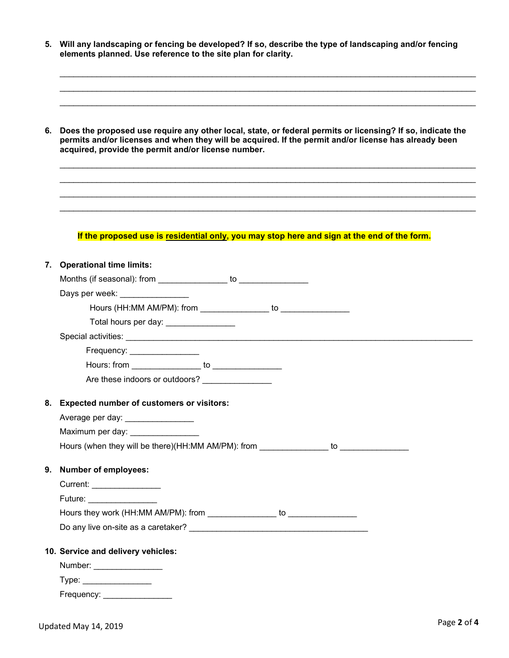**5. Will any landscaping or fencing be developed? If so, describe the type of landscaping and/or fencing elements planned. Use reference to the site plan for clarity.**

\_\_\_\_\_\_\_\_\_\_\_\_\_\_\_\_\_\_\_\_\_\_\_\_\_\_\_\_\_\_\_\_\_\_\_\_\_\_\_\_\_\_\_\_\_\_\_\_\_\_\_\_\_\_\_\_\_\_\_\_\_\_\_\_\_\_\_\_\_\_\_\_\_\_\_\_\_\_\_\_\_\_\_\_\_\_\_\_\_\_ \_\_\_\_\_\_\_\_\_\_\_\_\_\_\_\_\_\_\_\_\_\_\_\_\_\_\_\_\_\_\_\_\_\_\_\_\_\_\_\_\_\_\_\_\_\_\_\_\_\_\_\_\_\_\_\_\_\_\_\_\_\_\_\_\_\_\_\_\_\_\_\_\_\_\_\_\_\_\_\_\_\_\_\_\_\_\_\_\_\_ \_\_\_\_\_\_\_\_\_\_\_\_\_\_\_\_\_\_\_\_\_\_\_\_\_\_\_\_\_\_\_\_\_\_\_\_\_\_\_\_\_\_\_\_\_\_\_\_\_\_\_\_\_\_\_\_\_\_\_\_\_\_\_\_\_\_\_\_\_\_\_\_\_\_\_\_\_\_\_\_\_\_\_\_\_\_\_\_\_\_

**6. Does the proposed use require any other local, state, or federal permits or licensing? If so, indicate the permits and/or licenses and when they will be acquired. If the permit and/or license has already been acquired, provide the permit and/or license number.**

\_\_\_\_\_\_\_\_\_\_\_\_\_\_\_\_\_\_\_\_\_\_\_\_\_\_\_\_\_\_\_\_\_\_\_\_\_\_\_\_\_\_\_\_\_\_\_\_\_\_\_\_\_\_\_\_\_\_\_\_\_\_\_\_\_\_\_\_\_\_\_\_\_\_\_\_\_\_\_\_\_\_\_\_\_\_\_\_\_\_ \_\_\_\_\_\_\_\_\_\_\_\_\_\_\_\_\_\_\_\_\_\_\_\_\_\_\_\_\_\_\_\_\_\_\_\_\_\_\_\_\_\_\_\_\_\_\_\_\_\_\_\_\_\_\_\_\_\_\_\_\_\_\_\_\_\_\_\_\_\_\_\_\_\_\_\_\_\_\_\_\_\_\_\_\_\_\_\_\_\_ \_\_\_\_\_\_\_\_\_\_\_\_\_\_\_\_\_\_\_\_\_\_\_\_\_\_\_\_\_\_\_\_\_\_\_\_\_\_\_\_\_\_\_\_\_\_\_\_\_\_\_\_\_\_\_\_\_\_\_\_\_\_\_\_\_\_\_\_\_\_\_\_\_\_\_\_\_\_\_\_\_\_\_\_\_\_\_\_\_\_ \_\_\_\_\_\_\_\_\_\_\_\_\_\_\_\_\_\_\_\_\_\_\_\_\_\_\_\_\_\_\_\_\_\_\_\_\_\_\_\_\_\_\_\_\_\_\_\_\_\_\_\_\_\_\_\_\_\_\_\_\_\_\_\_\_\_\_\_\_\_\_\_\_\_\_\_\_\_\_\_\_\_\_\_\_\_\_\_\_\_

## **If the proposed use is residential only, you may stop here and sign at the end of the form.**

| 7. Operational time limits:                                                                                                                                                                                                    |  |  |
|--------------------------------------------------------------------------------------------------------------------------------------------------------------------------------------------------------------------------------|--|--|
|                                                                                                                                                                                                                                |  |  |
| Days per week: ________________                                                                                                                                                                                                |  |  |
| Hours (HH:MM AM/PM): from to to                                                                                                                                                                                                |  |  |
| Total hours per day: __________________                                                                                                                                                                                        |  |  |
|                                                                                                                                                                                                                                |  |  |
| Frequency: _________________                                                                                                                                                                                                   |  |  |
|                                                                                                                                                                                                                                |  |  |
| Are these indoors or outdoors? ________________                                                                                                                                                                                |  |  |
| 8. Expected number of customers or visitors:                                                                                                                                                                                   |  |  |
| Average per day: _________________                                                                                                                                                                                             |  |  |
| Maximum per day: __________________                                                                                                                                                                                            |  |  |
| Hours (when they will be there)(HH:MM AM/PM): from _______________to                                                                                                                                                           |  |  |
| 9. Number of employees:                                                                                                                                                                                                        |  |  |
| Current: _________________                                                                                                                                                                                                     |  |  |
| Future: National Activities of the Contract of Tennis and Tennis and Tennis and Tennis and Tennis and Tennis and Tennis and Tennis and Tennis and Tennis and Tennis and Tennis and Tennis and Tennis and Tennis and Tennis and |  |  |
|                                                                                                                                                                                                                                |  |  |
|                                                                                                                                                                                                                                |  |  |
| 10. Service and delivery vehicles:                                                                                                                                                                                             |  |  |
| Number: _________________                                                                                                                                                                                                      |  |  |
|                                                                                                                                                                                                                                |  |  |
| Frequency: ___________________                                                                                                                                                                                                 |  |  |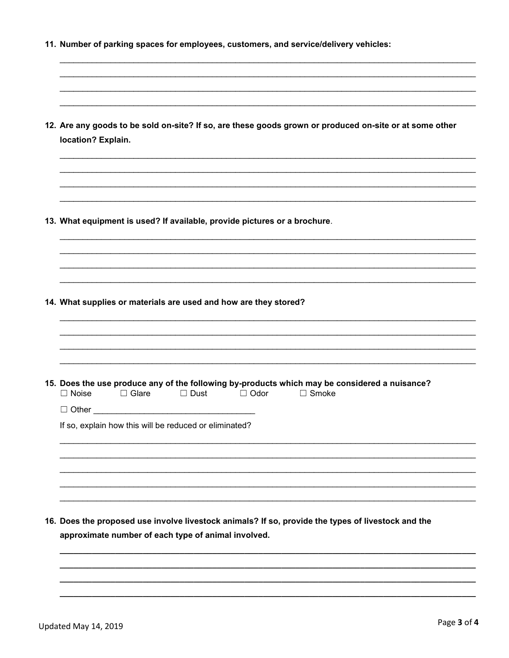| 12. Are any goods to be sold on-site? If so, are these goods grown or produced on-site or at some other<br>location? Explain.                                               |
|-----------------------------------------------------------------------------------------------------------------------------------------------------------------------------|
|                                                                                                                                                                             |
| 13. What equipment is used? If available, provide pictures or a brochure.                                                                                                   |
|                                                                                                                                                                             |
| 14. What supplies or materials are used and how are they stored?                                                                                                            |
| 15. Does the use produce any of the following by-products which may be considered a nuisance?<br>$\Box$ Glare<br>$\Box$ Dust<br>$\Box$ Odor<br>$\Box$ Smoke<br>$\Box$ Noise |
| $\Box$ Other<br>the control of the control of the control of the control of the control of the control of<br>If so, explain how this will be reduced or eliminated?         |
|                                                                                                                                                                             |
|                                                                                                                                                                             |